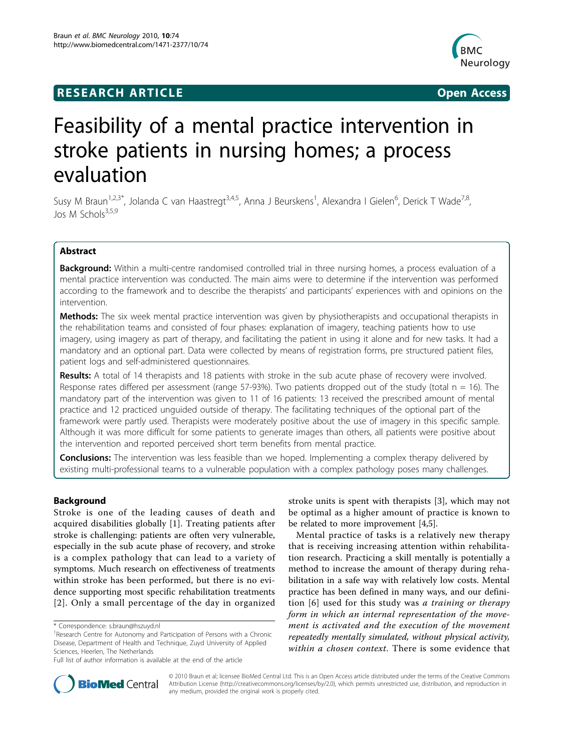## **RESEARCH ARTICLE Example 2014 CONSUMING ACCESS**



# Feasibility of a mental practice intervention in stroke patients in nursing homes; a process evaluation

Susy M Braun<sup>1,2,3\*</sup>, Jolanda C van Haastregt<sup>3,4,5</sup>, Anna J Beurskens<sup>1</sup>, Alexandra I Gielen<sup>6</sup>, Derick T Wade<sup>7,8</sup>, Jos M Schols $3,5,9$ 

## Abstract

**Background:** Within a multi-centre randomised controlled trial in three nursing homes, a process evaluation of a mental practice intervention was conducted. The main aims were to determine if the intervention was performed according to the framework and to describe the therapists' and participants' experiences with and opinions on the intervention.

Methods: The six week mental practice intervention was given by physiotherapists and occupational therapists in the rehabilitation teams and consisted of four phases: explanation of imagery, teaching patients how to use imagery, using imagery as part of therapy, and facilitating the patient in using it alone and for new tasks. It had a mandatory and an optional part. Data were collected by means of registration forms, pre structured patient files, patient logs and self-administered questionnaires.

Results: A total of 14 therapists and 18 patients with stroke in the sub acute phase of recovery were involved. Response rates differed per assessment (range 57-93%). Two patients dropped out of the study (total  $n = 16$ ). The mandatory part of the intervention was given to 11 of 16 patients: 13 received the prescribed amount of mental practice and 12 practiced unguided outside of therapy. The facilitating techniques of the optional part of the framework were partly used. Therapists were moderately positive about the use of imagery in this specific sample. Although it was more difficult for some patients to generate images than others, all patients were positive about the intervention and reported perceived short term benefits from mental practice.

**Conclusions:** The intervention was less feasible than we hoped. Implementing a complex therapy delivered by existing multi-professional teams to a vulnerable population with a complex pathology poses many challenges.

## Background

Stroke is one of the leading causes of death and acquired disabilities globally [\[1](#page-8-0)]. Treating patients after stroke is challenging: patients are often very vulnerable, especially in the sub acute phase of recovery, and stroke is a complex pathology that can lead to a variety of symptoms. Much research on effectiveness of treatments within stroke has been performed, but there is no evidence supporting most specific rehabilitation treatments [[2](#page-8-0)]. Only a small percentage of the day in organized

stroke units is spent with therapists [[3](#page-8-0)], which may not be optimal as a higher amount of practice is known to be related to more improvement [\[4,5](#page-8-0)].

Mental practice of tasks is a relatively new therapy that is receiving increasing attention within rehabilitation research. Practicing a skill mentally is potentially a method to increase the amount of therapy during rehabilitation in a safe way with relatively low costs. Mental practice has been defined in many ways, and our definition [[6](#page-8-0)] used for this study was a training or therapy form in which an internal representation of the movement is activated and the execution of the movement repeatedly mentally simulated, without physical activity, within a chosen context. There is some evidence that



© 2010 Braun et al; licensee BioMed Central Ltd. This is an Open Access article distributed under the terms of the Creative Commons Attribution License [\(http://creativecommons.org/licenses/by/2.0](http://creativecommons.org/licenses/by/2.0)), which permits unrestricted use, distribution, and reproduction in any medium, provided the original work is properly cited.

<sup>\*</sup> Correspondence: [s.braun@hszuyd.nl](mailto:s.braun@hszuyd.nl)

<sup>&</sup>lt;sup>1</sup> Research Centre for Autonomy and Participation of Persons with a Chronic Disease, Department of Health and Technique, Zuyd University of Applied Sciences, Heerlen, The Netherlands

Full list of author information is available at the end of the article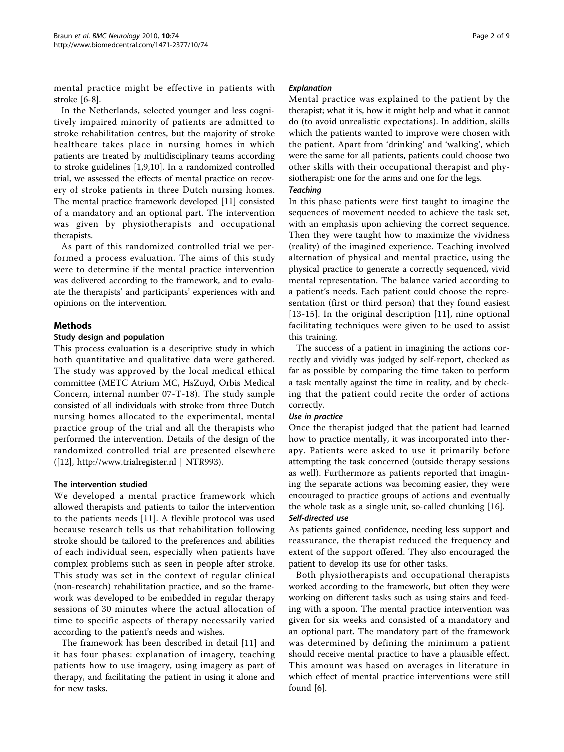mental practice might be effective in patients with stroke [\[6-8](#page-8-0)].

In the Netherlands, selected younger and less cognitively impaired minority of patients are admitted to stroke rehabilitation centres, but the majority of stroke healthcare takes place in nursing homes in which patients are treated by multidisciplinary teams according to stroke guidelines [\[1,9](#page-8-0),[10](#page-8-0)]. In a randomized controlled trial, we assessed the effects of mental practice on recovery of stroke patients in three Dutch nursing homes. The mental practice framework developed [[11\]](#page-8-0) consisted of a mandatory and an optional part. The intervention was given by physiotherapists and occupational therapists.

As part of this randomized controlled trial we performed a process evaluation. The aims of this study were to determine if the mental practice intervention was delivered according to the framework, and to evaluate the therapists' and participants' experiences with and opinions on the intervention.

## Methods

## Study design and population

This process evaluation is a descriptive study in which both quantitative and qualitative data were gathered. The study was approved by the local medical ethical committee (METC Atrium MC, HsZuyd, Orbis Medical Concern, internal number 07-T-18). The study sample consisted of all individuals with stroke from three Dutch nursing homes allocated to the experimental, mental practice group of the trial and all the therapists who performed the intervention. Details of the design of the randomized controlled trial are presented elsewhere ([[12\]](#page-8-0),<http://www.trialregister.nl> | NTR993).

## The intervention studied

We developed a mental practice framework which allowed therapists and patients to tailor the intervention to the patients needs [[11\]](#page-8-0). A flexible protocol was used because research tells us that rehabilitation following stroke should be tailored to the preferences and abilities of each individual seen, especially when patients have complex problems such as seen in people after stroke. This study was set in the context of regular clinical (non-research) rehabilitation practice, and so the framework was developed to be embedded in regular therapy sessions of 30 minutes where the actual allocation of time to specific aspects of therapy necessarily varied according to the patient's needs and wishes.

The framework has been described in detail [[11\]](#page-8-0) and it has four phases: explanation of imagery, teaching patients how to use imagery, using imagery as part of therapy, and facilitating the patient in using it alone and for new tasks.

#### Page 2 of 9

#### Explanation

Mental practice was explained to the patient by the therapist; what it is, how it might help and what it cannot do (to avoid unrealistic expectations). In addition, skills which the patients wanted to improve were chosen with the patient. Apart from 'drinking' and 'walking', which were the same for all patients, patients could choose two other skills with their occupational therapist and physiotherapist: one for the arms and one for the legs.

## **Teaching**

In this phase patients were first taught to imagine the sequences of movement needed to achieve the task set, with an emphasis upon achieving the correct sequence. Then they were taught how to maximize the vividness (reality) of the imagined experience. Teaching involved alternation of physical and mental practice, using the physical practice to generate a correctly sequenced, vivid mental representation. The balance varied according to a patient's needs. Each patient could choose the representation (first or third person) that they found easiest [[13](#page-8-0)-[15](#page-8-0)]. In the original description [[11](#page-8-0)], nine optional facilitating techniques were given to be used to assist this training.

The success of a patient in imagining the actions correctly and vividly was judged by self-report, checked as far as possible by comparing the time taken to perform a task mentally against the time in reality, and by checking that the patient could recite the order of actions correctly.

## Use in practice

Once the therapist judged that the patient had learned how to practice mentally, it was incorporated into therapy. Patients were asked to use it primarily before attempting the task concerned (outside therapy sessions as well). Furthermore as patients reported that imagining the separate actions was becoming easier, they were encouraged to practice groups of actions and eventually the whole task as a single unit, so-called chunking [\[16\]](#page-8-0). Self-directed use

As patients gained confidence, needing less support and reassurance, the therapist reduced the frequency and extent of the support offered. They also encouraged the patient to develop its use for other tasks.

Both physiotherapists and occupational therapists worked according to the framework, but often they were working on different tasks such as using stairs and feeding with a spoon. The mental practice intervention was given for six weeks and consisted of a mandatory and an optional part. The mandatory part of the framework was determined by defining the minimum a patient should receive mental practice to have a plausible effect. This amount was based on averages in literature in which effect of mental practice interventions were still found [[6\]](#page-8-0).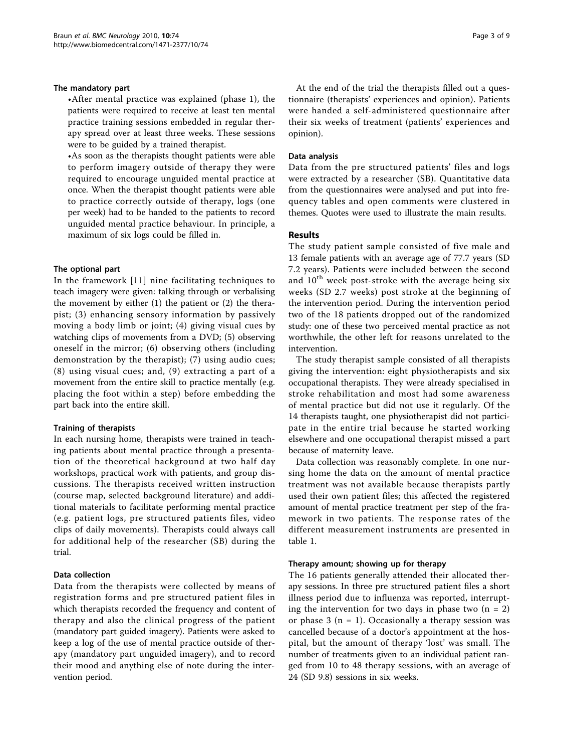#### The mandatory part

•After mental practice was explained (phase 1), the patients were required to receive at least ten mental practice training sessions embedded in regular therapy spread over at least three weeks. These sessions were to be guided by a trained therapist.

•As soon as the therapists thought patients were able to perform imagery outside of therapy they were required to encourage unguided mental practice at once. When the therapist thought patients were able to practice correctly outside of therapy, logs (one per week) had to be handed to the patients to record unguided mental practice behaviour. In principle, a maximum of six logs could be filled in.

#### The optional part

In the framework [[11](#page-8-0)] nine facilitating techniques to teach imagery were given: talking through or verbalising the movement by either (1) the patient or (2) the therapist; (3) enhancing sensory information by passively moving a body limb or joint; (4) giving visual cues by watching clips of movements from a DVD; (5) observing oneself in the mirror; (6) observing others (including demonstration by the therapist); (7) using audio cues; (8) using visual cues; and, (9) extracting a part of a movement from the entire skill to practice mentally (e.g. placing the foot within a step) before embedding the part back into the entire skill.

#### Training of therapists

In each nursing home, therapists were trained in teaching patients about mental practice through a presentation of the theoretical background at two half day workshops, practical work with patients, and group discussions. The therapists received written instruction (course map, selected background literature) and additional materials to facilitate performing mental practice (e.g. patient logs, pre structured patients files, video clips of daily movements). Therapists could always call for additional help of the researcher (SB) during the trial.

#### Data collection

Data from the therapists were collected by means of registration forms and pre structured patient files in which therapists recorded the frequency and content of therapy and also the clinical progress of the patient (mandatory part guided imagery). Patients were asked to keep a log of the use of mental practice outside of therapy (mandatory part unguided imagery), and to record their mood and anything else of note during the intervention period.

At the end of the trial the therapists filled out a questionnaire (therapists' experiences and opinion). Patients were handed a self-administered questionnaire after their six weeks of treatment (patients' experiences and opinion).

#### Data analysis

Data from the pre structured patients' files and logs were extracted by a researcher (SB). Quantitative data from the questionnaires were analysed and put into frequency tables and open comments were clustered in themes. Quotes were used to illustrate the main results.

## Results

The study patient sample consisted of five male and 13 female patients with an average age of 77.7 years (SD 7.2 years). Patients were included between the second and  $10^{th}$  week post-stroke with the average being six weeks (SD 2.7 weeks) post stroke at the beginning of the intervention period. During the intervention period two of the 18 patients dropped out of the randomized study: one of these two perceived mental practice as not worthwhile, the other left for reasons unrelated to the intervention.

The study therapist sample consisted of all therapists giving the intervention: eight physiotherapists and six occupational therapists. They were already specialised in stroke rehabilitation and most had some awareness of mental practice but did not use it regularly. Of the 14 therapists taught, one physiotherapist did not participate in the entire trial because he started working elsewhere and one occupational therapist missed a part because of maternity leave.

Data collection was reasonably complete. In one nursing home the data on the amount of mental practice treatment was not available because therapists partly used their own patient files; this affected the registered amount of mental practice treatment per step of the framework in two patients. The response rates of the different measurement instruments are presented in table [1](#page-3-0).

#### Therapy amount; showing up for therapy

The 16 patients generally attended their allocated therapy sessions. In three pre structured patient files a short illness period due to influenza was reported, interrupting the intervention for two days in phase two  $(n = 2)$ or phase  $3$  (n = 1). Occasionally a therapy session was cancelled because of a doctor's appointment at the hospital, but the amount of therapy 'lost' was small. The number of treatments given to an individual patient ranged from 10 to 48 therapy sessions, with an average of 24 (SD 9.8) sessions in six weeks.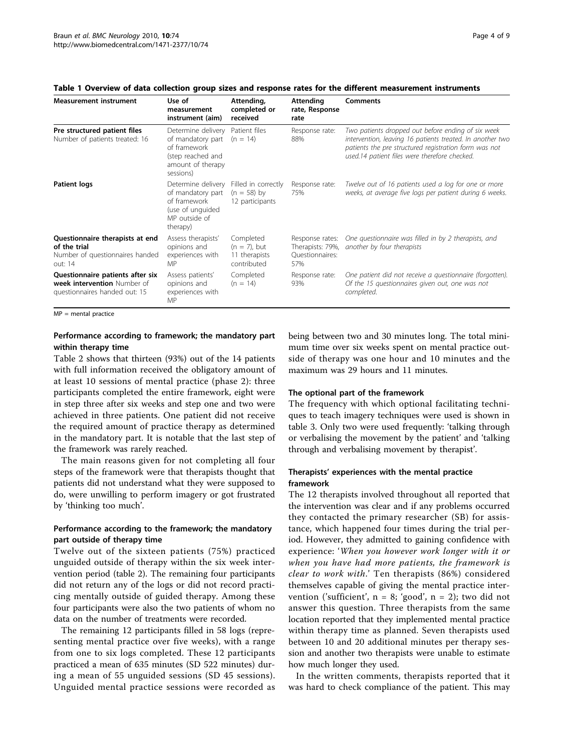| <b>Measurement instrument</b>                                                                    | Use of<br>measurement<br>instrument (aim)                                                                      | Attending,<br>completed or<br>received                       | Attending<br>rate, Response<br>rate                           | <b>Comments</b>                                                                                                                                                                                                           |
|--------------------------------------------------------------------------------------------------|----------------------------------------------------------------------------------------------------------------|--------------------------------------------------------------|---------------------------------------------------------------|---------------------------------------------------------------------------------------------------------------------------------------------------------------------------------------------------------------------------|
| Pre structured patient files<br>Number of patients treated: 16                                   | Determine delivery<br>of mandatory part<br>of framework<br>(step reached and<br>amount of therapy<br>sessions) | Patient files<br>$(n = 14)$                                  | Response rate:<br>88%                                         | Two patients dropped out before ending of six week<br>intervention, leaving 16 patients treated. In another two<br>patients the pre structured registration form was not<br>used.14 patient files were therefore checked. |
| <b>Patient logs</b>                                                                              | Determine delivery<br>of mandatory part<br>of framework<br>(use of unguided<br>MP outside of<br>therapy)       | Filled in correctly<br>$(n = 58)$ by<br>12 participants      | Response rate:<br>75%                                         | Twelve out of 16 patients used a log for one or more<br>weeks, at average five logs per patient during 6 weeks.                                                                                                           |
| Questionnaire therapists at end<br>of the trial<br>Number of questionnaires handed<br>out: 14    | Assess therapists'<br>opinions and<br>experiences with<br><b>MP</b>                                            | Completed<br>$(n = 7)$ , but<br>11 therapists<br>contributed | Response rates:<br>Therapists: 79%,<br>Questionnaires:<br>57% | One questionnaire was filled in by 2 therapists, and<br>another by four therapists                                                                                                                                        |
| Questionnaire patients after six<br>week intervention Number of<br>questionnaires handed out: 15 | Assess patients'<br>opinions and<br>experiences with<br><b>MP</b>                                              | Completed<br>$(n = 14)$                                      | Response rate:<br>93%                                         | One patient did not receive a questionnaire (forgotten).<br>Of the 15 questionnaires given out, one was not<br>completed.                                                                                                 |

#### <span id="page-3-0"></span>Table 1 Overview of data collection group sizes and response rates for the different measurement instruments

 $MP =$  mental practice

#### Performance according to framework; the mandatory part within therapy time

Table [2](#page-4-0) shows that thirteen (93%) out of the 14 patients with full information received the obligatory amount of at least 10 sessions of mental practice (phase 2): three participants completed the entire framework, eight were in step three after six weeks and step one and two were achieved in three patients. One patient did not receive the required amount of practice therapy as determined in the mandatory part. It is notable that the last step of the framework was rarely reached.

The main reasons given for not completing all four steps of the framework were that therapists thought that patients did not understand what they were supposed to do, were unwilling to perform imagery or got frustrated by 'thinking too much'.

## Performance according to the framework; the mandatory part outside of therapy time

Twelve out of the sixteen patients (75%) practiced unguided outside of therapy within the six week intervention period (table [2](#page-4-0)). The remaining four participants did not return any of the logs or did not record practicing mentally outside of guided therapy. Among these four participants were also the two patients of whom no data on the number of treatments were recorded.

The remaining 12 participants filled in 58 logs (representing mental practice over five weeks), with a range from one to six logs completed. These 12 participants practiced a mean of 635 minutes (SD 522 minutes) during a mean of 55 unguided sessions (SD 45 sessions). Unguided mental practice sessions were recorded as being between two and 30 minutes long. The total minimum time over six weeks spent on mental practice outside of therapy was one hour and 10 minutes and the maximum was 29 hours and 11 minutes.

#### The optional part of the framework

The frequency with which optional facilitating techniques to teach imagery techniques were used is shown in table [3.](#page-5-0) Only two were used frequently: 'talking through or verbalising the movement by the patient' and 'talking through and verbalising movement by therapist'.

#### Therapists' experiences with the mental practice framework

The 12 therapists involved throughout all reported that the intervention was clear and if any problems occurred they contacted the primary researcher (SB) for assistance, which happened four times during the trial period. However, they admitted to gaining confidence with experience: 'When you however work longer with it or when you have had more patients, the framework is clear to work with.' Ten therapists (86%) considered themselves capable of giving the mental practice intervention ('sufficient',  $n = 8$ ; 'good',  $n = 2$ ); two did not answer this question. Three therapists from the same location reported that they implemented mental practice within therapy time as planned. Seven therapists used between 10 and 20 additional minutes per therapy session and another two therapists were unable to estimate how much longer they used.

In the written comments, therapists reported that it was hard to check compliance of the patient. This may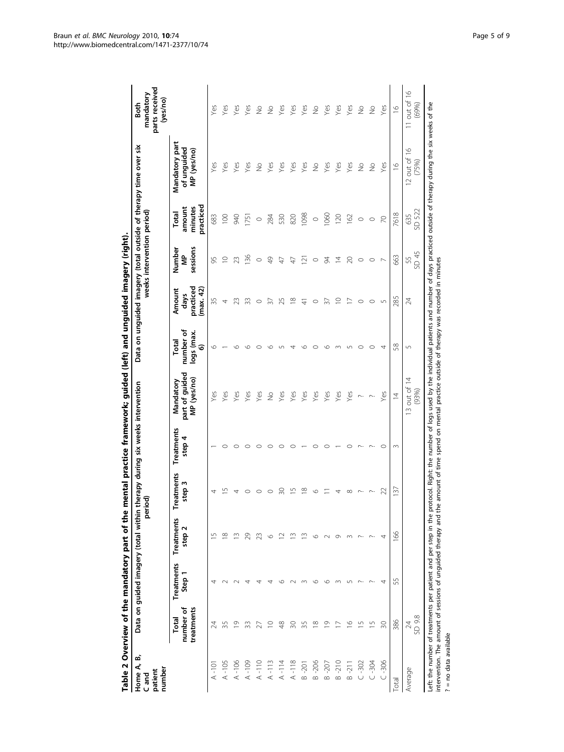| Home A, B,<br>number<br>patient<br>C and |                                         |                                        | Data on guided imagery (total within therapy during six weeks intervention<br>peri | ිල<br>ල             |                      |                                            |                                       |                                         | weeks intervention period) |                                                | Data on unguided imagery (total outside of therapy time over six | parts received<br>mandatory<br>(yes/no<br>Both |
|------------------------------------------|-----------------------------------------|----------------------------------------|------------------------------------------------------------------------------------|---------------------|----------------------|--------------------------------------------|---------------------------------------|-----------------------------------------|----------------------------|------------------------------------------------|------------------------------------------------------------------|------------------------------------------------|
|                                          | number of<br>treatments<br><b>Total</b> | <b>Treatments</b><br>Step <sub>1</sub> | <b>Treatments</b><br>step 2                                                        | reatments<br>step 3 | Treatments<br>step 4 | part of guided<br>MP (yes/no)<br>Mandatory | number of<br>logs (max.<br>Total<br>ତ | max. 42)<br>practiced<br>Amount<br>days | sessions<br>Number<br>ş    | practiced<br>minutes<br>amount<br><b>Total</b> | Mandatory part<br>of unguided<br>MP (yes/no)                     |                                                |
| $A - 101$                                | 24                                      |                                        | Щ                                                                                  | д                   |                      | Yes                                        | ७                                     | 35                                      | 95                         | 683                                            | Yes                                                              | Yes                                            |
| $A - 105$                                | 35                                      |                                        | $\infty$                                                                           |                     |                      | Yes                                        |                                       | 4                                       | $\subseteq$                | $\overline{100}$                               | Yes                                                              | Yes                                            |
| $A - 106$                                | $\circ$                                 |                                        |                                                                                    |                     |                      | Yes                                        |                                       | ೫                                       | 23                         | 940                                            | Yes                                                              | Yes                                            |
| $A - 109$                                | 33                                      |                                        | 29                                                                                 |                     |                      | Yes                                        |                                       | 33                                      | 36                         | <b>151</b>                                     | Yes                                                              | Yes                                            |
| $A - 110$                                |                                         |                                        |                                                                                    |                     |                      | Yes                                        |                                       | C                                       | $\circ$                    | $\circ$                                        | $\frac{1}{2}$                                                    | $\frac{1}{2}$                                  |
| $A - 113$                                | $\subseteq$                             |                                        | ١C                                                                                 |                     |                      | $\frac{1}{2}$                              |                                       |                                         | $\frac{1}{2}$              | 284                                            | Yes                                                              | $\frac{1}{2}$                                  |
| $A - 114$                                | $\frac{8}{4}$                           |                                        |                                                                                    | 20                  |                      | Yes                                        |                                       | 25                                      | 47                         | 530                                            | Yes                                                              | Yes                                            |
| $A - 118$                                | Z                                       |                                        |                                                                                    | S                   |                      | Yes                                        |                                       | $\infty$                                | $\overline{4}$             | 820                                            | Yes                                                              | Yes                                            |
| $B - 201$                                | 35                                      |                                        |                                                                                    | ≌                   |                      | Yes                                        |                                       | ₹                                       | $\sim$                     | 1098                                           | Yes                                                              | Yes                                            |
| $B - 206$                                | ≌                                       | ⊙                                      | ७                                                                                  | O                   |                      | Yes                                        |                                       | 0                                       | O                          | $\circ$                                        | $\frac{1}{2}$                                                    | $\frac{1}{2}$                                  |
| $B - 207$                                | $\supseteq$                             | $\circ$                                |                                                                                    |                     |                      | Yes                                        | ৩                                     | 57                                      | 54                         | 060                                            | Yes                                                              | Yes                                            |
| $B - 210$                                | $\geq$                                  |                                        | ᡡ                                                                                  |                     |                      | Yes                                        |                                       | $\circ$                                 | ⋣                          | 120                                            | Yes                                                              | Yes                                            |
| $B - 211$                                | $\frac{6}{1}$                           | Ľ                                      |                                                                                    | $\infty$            |                      | Yes                                        |                                       | $\overline{\phantom{0}}$                | $\approx$                  | 162                                            | Yes                                                              | Yes                                            |
| $C - 302$                                | $\overline{5}$                          |                                        |                                                                                    |                     |                      |                                            |                                       | $\circ$                                 | $\circ$                    | $\circ$                                        | $\frac{1}{2}$                                                    | $\frac{1}{2}$                                  |
| $C - 304$                                | $\overline{1}$                          |                                        |                                                                                    |                     |                      |                                            |                                       | $\circ$                                 | $\circ$                    | $\circ$                                        | $\frac{1}{2}$                                                    | $\frac{1}{2}$                                  |
| $C - 306$                                | $\approx$                               | 4                                      | 4                                                                                  | 22                  | C                    | Yes                                        |                                       | 5                                       | $\triangleright$           | 20                                             | Yes                                                              | Yes                                            |
| Total                                    | 386                                     | 55                                     | 166                                                                                | 137                 | $\infty$             | $\overline{4}$                             | 58                                    | 285                                     | 663                        | 7618                                           | $\frac{6}{2}$                                                    | $\frac{6}{1}$                                  |
| Average                                  | SD 9.8<br>$\approx$                     |                                        |                                                                                    |                     |                      | 13 out of 14<br>(93%)                      | 5                                     | 24                                      | SD 45<br>55                | SD 522<br>635                                  | 12 out of 16<br>(75%)                                            | 11 out of 16<br>(69%)                          |

<span id="page-4-0"></span>

Table 2 Overview of the mandatory part of the mental practice framework; guided (left) and unguided imagery (right).

Left: the number of treatments per patient and per step in the protocol. Right: the number of logs used us in dividual patients and number of days practiced outside of therapy during the six weeks of the

Left: the number of treatments per patient and per step in the potocol. Right: the number of logs used by the individual patients and number of days practiced outside of therapy during the six weeks of the<br>Intervention. Th

intervention. The amount of sessions of unguided therapy and the amount of time spend on mental practice outside of therapy was recorded in minutes

? = no data available

 $? = no data available$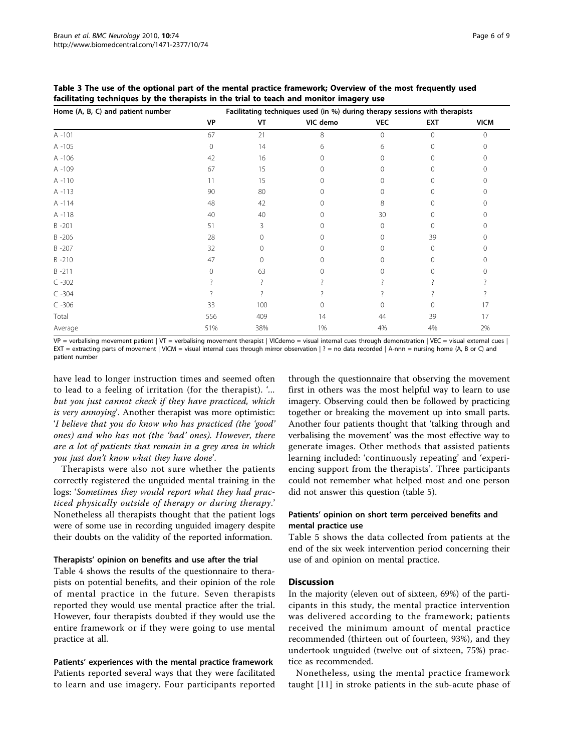| Home (A, B, C) and patient number | Facilitating techniques used (in %) during therapy sessions with therapists |     |          |              |            |             |  |
|-----------------------------------|-----------------------------------------------------------------------------|-----|----------|--------------|------------|-------------|--|
|                                   | VP                                                                          | VT  | VIC demo | <b>VEC</b>   | <b>EXT</b> | <b>VICM</b> |  |
| A-101                             | 67                                                                          | 21  | 8        | $\mathbf{0}$ | 0          | $\Omega$    |  |
| A-105                             | $\circ$                                                                     | 14  | 6        | 6            | 0          |             |  |
| A-106                             | 42                                                                          | 16  |          | $\Omega$     | 0          |             |  |
| A-109                             | 67                                                                          | 15  |          | O            | N          |             |  |
| A-110                             | 11                                                                          | 15  |          |              |            |             |  |
| $A - 113$                         | 90                                                                          | 80  |          | 0            |            |             |  |
| A-114                             | 48                                                                          | 42  |          | 8            | N          |             |  |
| A-118                             | 40                                                                          | 40  |          | 30           |            |             |  |
| $B - 201$                         | 51                                                                          | 3   |          | $\Omega$     | 0          |             |  |
| $B - 206$                         | 28                                                                          | 0   |          | $\cap$       | 39         |             |  |
| $B - 207$                         | 32                                                                          | 0   |          |              | 0          |             |  |
| $B - 210$                         | 47                                                                          | 0   |          | O            | N          |             |  |
| $B - 211$                         | 0                                                                           | 63  |          |              |            |             |  |
| $C - 302$                         |                                                                             |     |          |              |            |             |  |
| $C - 304$                         |                                                                             |     |          |              |            |             |  |
| $C - 306$                         | 33                                                                          | 100 |          | $\Omega$     | N          | 17          |  |
| Total                             | 556                                                                         | 409 | 14       | 44           | 39         | 17          |  |
| Average                           | 51%                                                                         | 38% | 1%       | 4%           | 4%         | 2%          |  |

<span id="page-5-0"></span>Table 3 The use of the optional part of the mental practice framework; Overview of the most frequently used facilitating techniques by the therapists in the trial to teach and monitor imagery use

 $VP =$  verbalising movement patient  $V =$  verbalising movement therapist  $V = V = V$  visual internal cues through demonstration  $V = V = V$ EXT = extracting parts of movement | VICM = visual internal cues through mirror observation | ? = no data recorded | A-nnn = nursing home (A, B or C) and patient number

have lead to longer instruction times and seemed often to lead to a feeling of irritation (for the therapist). '... but you just cannot check if they have practiced, which is very annoying'. Another therapist was more optimistic: 'I believe that you do know who has practiced (the 'good' ones) and who has not (the 'bad' ones). However, there are a lot of patients that remain in a grey area in which you just don't know what they have done'.

Therapists were also not sure whether the patients correctly registered the unguided mental training in the logs: 'Sometimes they would report what they had practiced physically outside of therapy or during therapy.' Nonetheless all therapists thought that the patient logs were of some use in recording unguided imagery despite their doubts on the validity of the reported information.

#### Therapists' opinion on benefits and use after the trial

Table [4](#page-6-0) shows the results of the questionnaire to therapists on potential benefits, and their opinion of the role of mental practice in the future. Seven therapists reported they would use mental practice after the trial. However, four therapists doubted if they would use the entire framework or if they were going to use mental practice at all.

## Patients' experiences with the mental practice framework

Patients reported several ways that they were facilitated to learn and use imagery. Four participants reported

through the questionnaire that observing the movement first in others was the most helpful way to learn to use imagery. Observing could then be followed by practicing together or breaking the movement up into small parts. Another four patients thought that 'talking through and verbalising the movement' was the most effective way to generate images. Other methods that assisted patients learning included: 'continuously repeating' and 'experiencing support from the therapists'. Three participants could not remember what helped most and one person did not answer this question (table [5](#page-7-0)).

## Patients' opinion on short term perceived benefits and mental practice use

Table [5](#page-7-0) shows the data collected from patients at the end of the six week intervention period concerning their use of and opinion on mental practice.

#### **Discussion**

In the majority (eleven out of sixteen, 69%) of the participants in this study, the mental practice intervention was delivered according to the framework; patients received the minimum amount of mental practice recommended (thirteen out of fourteen, 93%), and they undertook unguided (twelve out of sixteen, 75%) practice as recommended.

Nonetheless, using the mental practice framework taught [[11](#page-8-0)] in stroke patients in the sub-acute phase of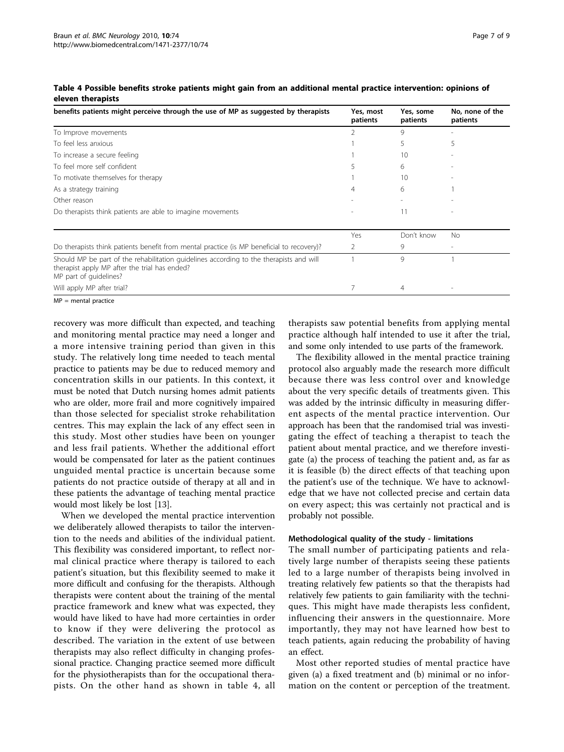| benefits patients might perceive through the use of MP as suggested by therapists                                                                                  | Yes, most<br>patients | Yes, some<br>patients | No, none of the<br>patients |
|--------------------------------------------------------------------------------------------------------------------------------------------------------------------|-----------------------|-----------------------|-----------------------------|
| To Improve movements                                                                                                                                               |                       | 9                     |                             |
| To feel less anxious                                                                                                                                               |                       | 5                     | 5                           |
| To increase a secure feeling                                                                                                                                       |                       | 10                    |                             |
| To feel more self confident                                                                                                                                        | 5                     | 6                     |                             |
| To motivate themselves for therapy                                                                                                                                 |                       | 10                    |                             |
| As a strategy training                                                                                                                                             | 4                     | 6                     |                             |
| Other reason                                                                                                                                                       |                       |                       |                             |
| Do therapists think patients are able to imagine movements                                                                                                         |                       | 11                    |                             |
|                                                                                                                                                                    | Yes                   | Don't know            | <b>No</b>                   |
| Do therapists think patients benefit from mental practice (is MP beneficial to recovery)?                                                                          | 2                     | 9                     | $\overline{\phantom{a}}$    |
| Should MP be part of the rehabilitation quidelines according to the therapists and will<br>therapist apply MP after the trial has ended?<br>MP part of quidelines? |                       | 9                     |                             |
| Will apply MP after trial?                                                                                                                                         |                       | 4                     |                             |

<span id="page-6-0"></span>Table 4 Possible benefits stroke patients might gain from an additional mental practice intervention: opinions of eleven therapists

 $MP =$  mental practice

recovery was more difficult than expected, and teaching and monitoring mental practice may need a longer and a more intensive training period than given in this study. The relatively long time needed to teach mental practice to patients may be due to reduced memory and concentration skills in our patients. In this context, it must be noted that Dutch nursing homes admit patients who are older, more frail and more cognitively impaired than those selected for specialist stroke rehabilitation centres. This may explain the lack of any effect seen in this study. Most other studies have been on younger and less frail patients. Whether the additional effort would be compensated for later as the patient continues unguided mental practice is uncertain because some patients do not practice outside of therapy at all and in these patients the advantage of teaching mental practice would most likely be lost [\[13](#page-8-0)].

When we developed the mental practice intervention we deliberately allowed therapists to tailor the intervention to the needs and abilities of the individual patient. This flexibility was considered important, to reflect normal clinical practice where therapy is tailored to each patient's situation, but this flexibility seemed to make it more difficult and confusing for the therapists. Although therapists were content about the training of the mental practice framework and knew what was expected, they would have liked to have had more certainties in order to know if they were delivering the protocol as described. The variation in the extent of use between therapists may also reflect difficulty in changing professional practice. Changing practice seemed more difficult for the physiotherapists than for the occupational therapists. On the other hand as shown in table 4, all

therapists saw potential benefits from applying mental practice although half intended to use it after the trial, and some only intended to use parts of the framework.

The flexibility allowed in the mental practice training protocol also arguably made the research more difficult because there was less control over and knowledge about the very specific details of treatments given. This was added by the intrinsic difficulty in measuring different aspects of the mental practice intervention. Our approach has been that the randomised trial was investigating the effect of teaching a therapist to teach the patient about mental practice, and we therefore investigate (a) the process of teaching the patient and, as far as it is feasible (b) the direct effects of that teaching upon the patient's use of the technique. We have to acknowledge that we have not collected precise and certain data on every aspect; this was certainly not practical and is probably not possible.

#### Methodological quality of the study - limitations

The small number of participating patients and relatively large number of therapists seeing these patients led to a large number of therapists being involved in treating relatively few patients so that the therapists had relatively few patients to gain familiarity with the techniques. This might have made therapists less confident, influencing their answers in the questionnaire. More importantly, they may not have learned how best to teach patients, again reducing the probability of having an effect.

Most other reported studies of mental practice have given (a) a fixed treatment and (b) minimal or no information on the content or perception of the treatment.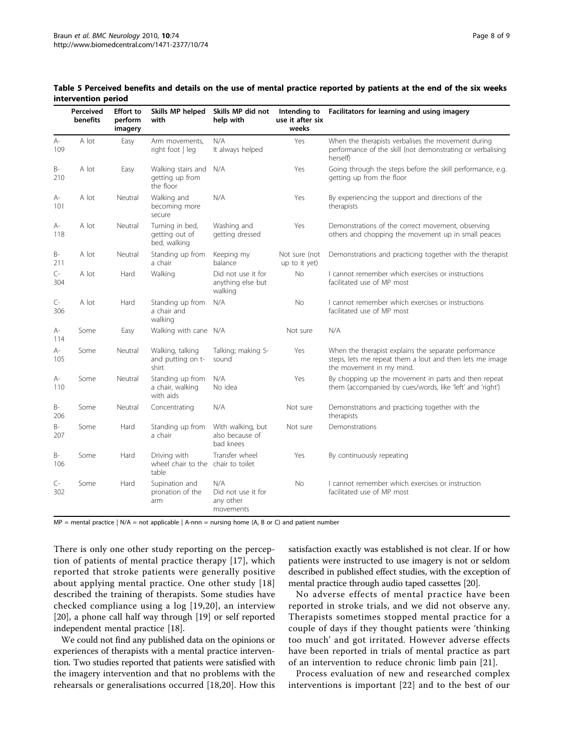|             | Perceived<br>benefits | <b>Effort</b> to<br>perform<br>imagery | Skills MP helped<br>with                                    | Skills MP did not<br>help with                      | Intending to<br>use it after six<br>weeks | Facilitators for learning and using imagery                                                                                                  |
|-------------|-----------------------|----------------------------------------|-------------------------------------------------------------|-----------------------------------------------------|-------------------------------------------|----------------------------------------------------------------------------------------------------------------------------------------------|
| $A-$<br>109 | A lot                 | Easy                                   | Arm movements,<br>right foot   leg                          | N/A<br>It always helped                             | Yes                                       | When the therapists verbalises the movement during<br>performance of the skill (not demonstrating or verbalising<br>herself)                 |
| B-<br>210   | A lot                 | Easy                                   | Walking stairs and<br>getting up from<br>the floor          | N/A                                                 | Yes                                       | Going through the steps before the skill performance, e.g.<br>getting up from the floor                                                      |
| А-<br>101   | A lot                 | Neutral                                | Walking and<br>becoming more<br>secure                      | N/A                                                 | Yes                                       | By experiencing the support and directions of the<br>therapists                                                                              |
| A-<br>118   | A lot                 | Neutral                                | Turning in bed,<br>getting out of<br>bed, walking           | Washing and<br>getting dressed                      | Yes                                       | Demonstrations of the correct movement, observing<br>others and chopping the movement up in small peaces                                     |
| $B-$<br>211 | A lot                 | Neutral                                | Standing up from<br>a chair                                 | Keeping my<br>balance                               | Not sure (not<br>up to it yet)            | Demonstrations and practicing together with the therapist                                                                                    |
| C-<br>304   | A lot                 | Hard                                   | Walking                                                     | Did not use it for<br>anything else but<br>walking  | <b>No</b>                                 | I cannot remember which exercises or instructions<br>facilitated use of MP most                                                              |
| $C-$<br>306 | A lot                 | Hard                                   | Standing up from<br>a chair and<br>walking                  | N/A                                                 | No                                        | I cannot remember which exercises or instructions<br>facilitated use of MP most                                                              |
| A-<br>114   | Some                  | Easy                                   | Walking with cane N/A                                       |                                                     | Not sure                                  | N/A                                                                                                                                          |
| A-<br>105   | Some                  | Neutral                                | Walking, talking<br>and putting on t-<br>shirt              | Talking; making S-<br>sound                         | Yes                                       | When the therapist explains the separate performance<br>steps, lets me repeat them a lout and then lets me image<br>the movement in my mind. |
| А-<br>110   | Some                  | Neutral                                | Standing up from<br>a chair, walking<br>with aids           | N/A<br>No idea                                      | Yes                                       | By chopping up the movement in parts and then repeat<br>them (accompanied by cues/words, like 'left' and 'right')                            |
| $B-$<br>206 | Some                  | Neutral                                | Concentrating                                               | N/A                                                 | Not sure                                  | Demonstrations and practicing together with the<br>therapists                                                                                |
| B-<br>207   | Some                  | Hard                                   | Standing up from<br>a chair                                 | With walking, but<br>also because of<br>bad knees   | Not sure                                  | Demonstrations                                                                                                                               |
| B-<br>106   | Some                  | Hard                                   | Driving with<br>wheel chair to the chair to toilet<br>table | Transfer wheel                                      | Yes                                       | By continuously repeating                                                                                                                    |
| C-<br>302   | Some                  | Hard                                   | Supination and<br>pronation of the<br>arm                   | N/A<br>Did not use it for<br>any other<br>movements | No                                        | I cannot remember which exercises or instruction<br>facilitated use of MP most                                                               |

#### <span id="page-7-0"></span>Table 5 Perceived benefits and details on the use of mental practice reported by patients at the end of the six weeks intervention period

 $MP =$  mental practice  $| N/A =$  not applicable  $| A$ -nnn = nursing home (A, B or C) and patient number

There is only one other study reporting on the perception of patients of mental practice therapy [[17](#page-8-0)], which reported that stroke patients were generally positive about applying mental practice. One other study [[18](#page-8-0)] described the training of therapists. Some studies have checked compliance using a log [[19](#page-8-0),[20](#page-8-0)], an interview [[20\]](#page-8-0), a phone call half way through [[19\]](#page-8-0) or self reported independent mental practice [\[18\]](#page-8-0).

We could not find any published data on the opinions or experiences of therapists with a mental practice intervention. Two studies reported that patients were satisfied with the imagery intervention and that no problems with the rehearsals or generalisations occurred [[18,20](#page-8-0)]. How this satisfaction exactly was established is not clear. If or how patients were instructed to use imagery is not or seldom described in published effect studies, with the exception of mental practice through audio taped cassettes [[20](#page-8-0)].

No adverse effects of mental practice have been reported in stroke trials, and we did not observe any. Therapists sometimes stopped mental practice for a couple of days if they thought patients were 'thinking too much' and got irritated. However adverse effects have been reported in trials of mental practice as part of an intervention to reduce chronic limb pain [\[21](#page-8-0)].

Process evaluation of new and researched complex interventions is important [[22](#page-8-0)] and to the best of our